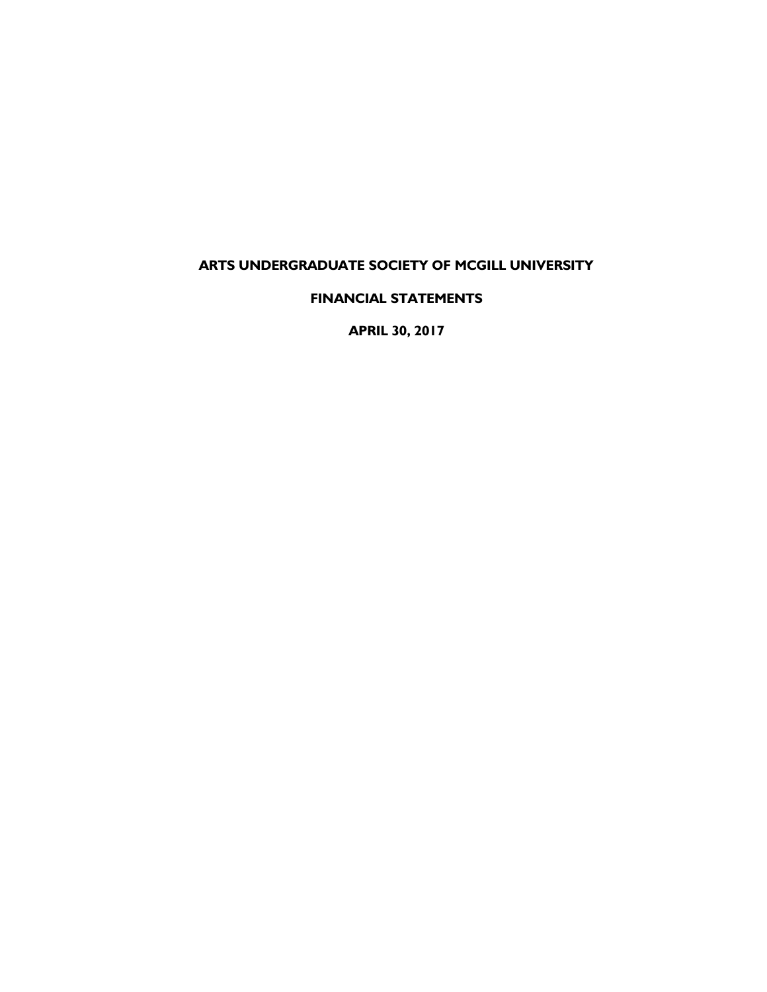# **ARTS UNDERGRADUATE SOCIETY OF MCGILL UNIVERSITY**

**FINANCIAL STATEMENTS**

**APRIL 30, 2017**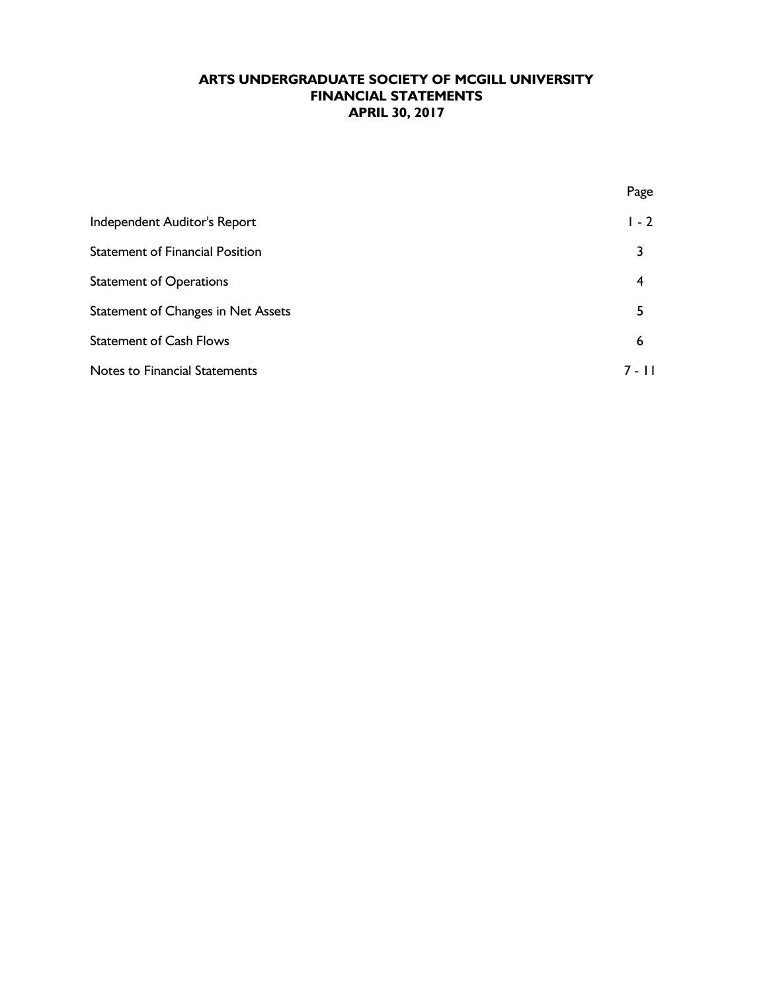|                                        | Page    |
|----------------------------------------|---------|
| Independent Auditor's Report           | $1 - 2$ |
| <b>Statement of Financial Position</b> | 3       |
| <b>Statement of Operations</b>         | 4       |
| Statement of Changes in Net Assets     | 5       |
| <b>Statement of Cash Flows</b>         | 6       |
| <b>Notes to Financial Statements</b>   | 7 - 11  |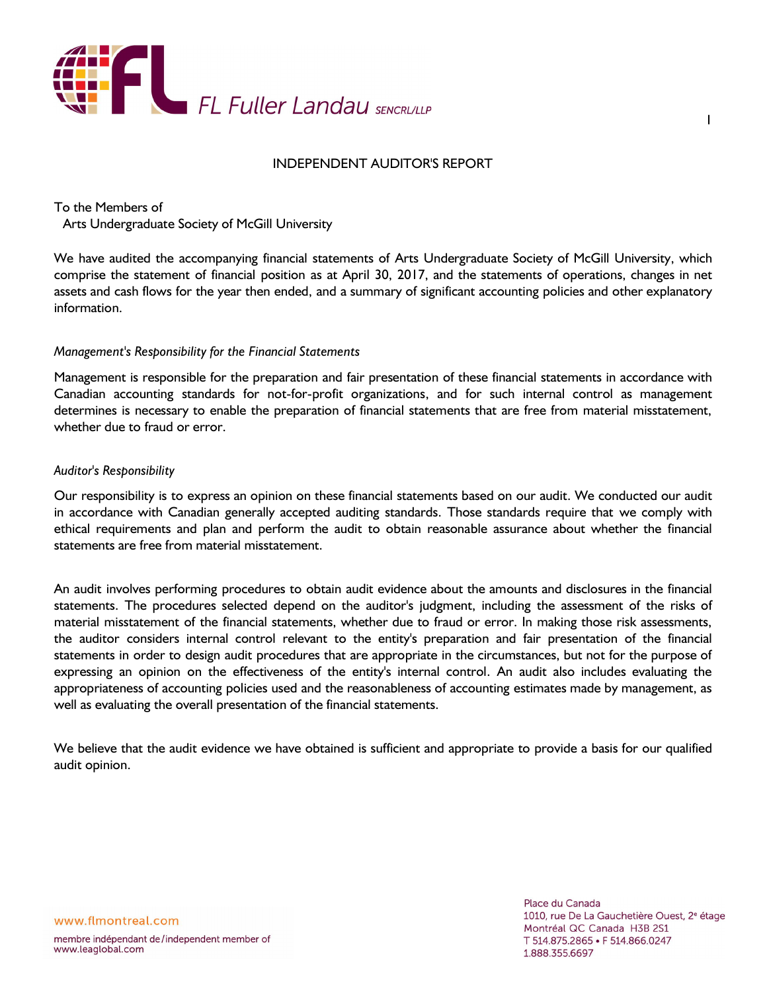

### INDEPENDENT AUDITOR'S REPORT

To the Members of Arts Undergraduate Society of McGill University

We have audited the accompanying financial statements of Arts Undergraduate Society of McGill University, which comprise the statement of financial position as at April 30, 2017, and the statements of operations, changes in net assets and cash flows for the year then ended, and a summary of significant accounting policies and other explanatory information.

#### *Management's Responsibility for the Financial Statements*

Management is responsible for the preparation and fair presentation of these financial statements in accordance with Canadian accounting standards for not-for-profit organizations, and for such internal control as management determines is necessary to enable the preparation of financial statements that are free from material misstatement, whether due to fraud or error.

#### *Auditor's Responsibility*

Our responsibility is to express an opinion on these financial statements based on our audit. We conducted our audit in accordance with Canadian generally accepted auditing standards. Those standards require that we comply with ethical requirements and plan and perform the audit to obtain reasonable assurance about whether the financial statements are free from material misstatement.

An audit involves performing procedures to obtain audit evidence about the amounts and disclosures in the financial statements. The procedures selected depend on the auditor's judgment, including the assessment of the risks of material misstatement of the financial statements, whether due to fraud or error. In making those risk assessments, the auditor considers internal control relevant to the entity's preparation and fair presentation of the financial statements in order to design audit procedures that are appropriate in the circumstances, but not for the purpose of expressing an opinion on the effectiveness of the entity's internal control. An audit also includes evaluating the appropriateness of accounting policies used and the reasonableness of accounting estimates made by management, as well as evaluating the overall presentation of the financial statements.

We believe that the audit evidence we have obtained is sufficient and appropriate to provide a basis for our qualified audit opinion.

1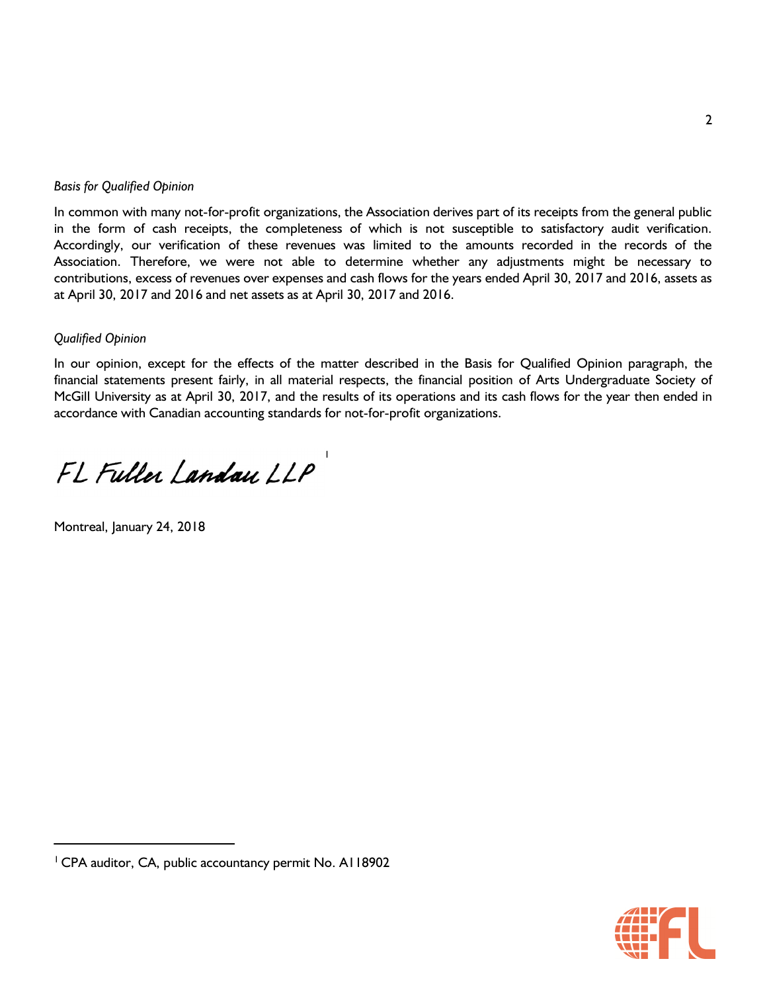## *Basis for Qualified Opinion*

In common with many not-for-profit organizations, the Association derives part of its receipts from the general public in the form of cash receipts, the completeness of which is not susceptible to satisfactory audit verification. Accordingly, our verification of these revenues was limited to the amounts recorded in the records of the Association. Therefore, we were not able to determine whether any adjustments might be necessary to contributions, excess of revenues over expenses and cash flows for the years ended April 30, 2017 and 2016, assets as at April 30, 2017 and 2016 and net assets as at April 30, 2017 and 2016.

## *Qualified Opinion*

In our opinion, except for the effects of the matter described in the Basis for Qualified Opinion paragraph, the financial statements present fairly, in all material respects, the financial position of Arts Undergraduate Society of McGill University as at April 30, 2017, and the results of its operations and its cash flows for the year then ended in accordance with Canadian accounting standards for not-for-profit organizations.

1

FL Fuller Landau LLP

Montreal, January 24, 2018



<sup>&</sup>lt;sup>1</sup> CPA auditor, CA, public accountancy permit No. A118902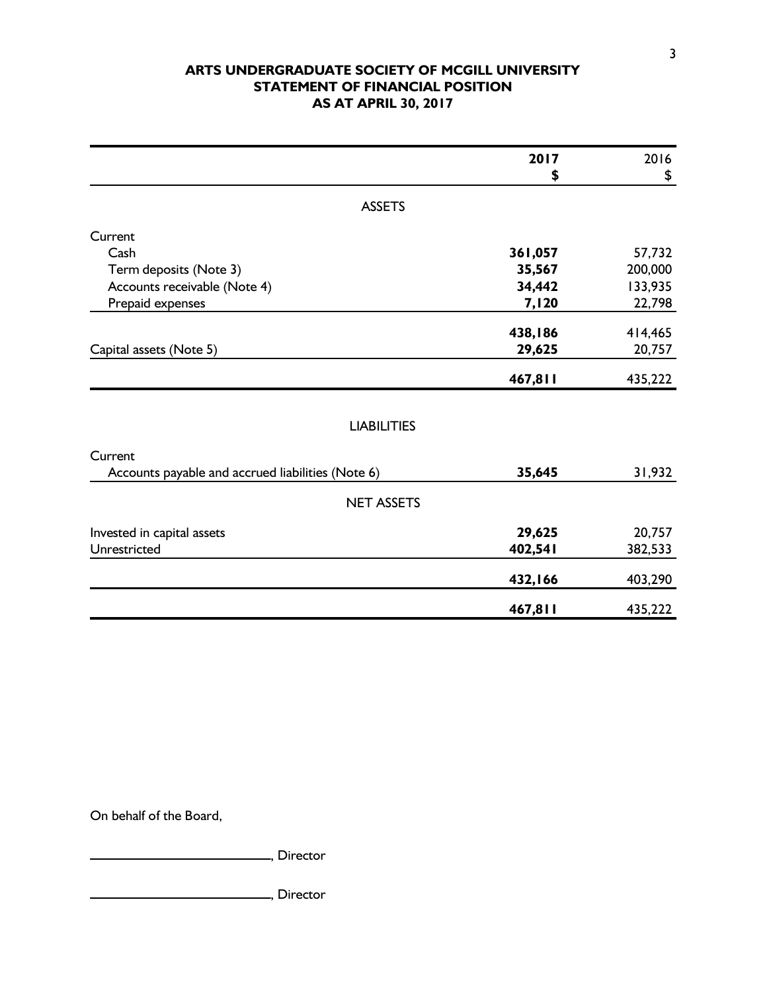## **ARTS UNDERGRADUATE SOCIETY OF MCGILL UNIVERSITY STATEMENT OF FINANCIAL POSITION AS AT APRIL 30, 2017**

|                                                   | 2017    | 2016    |
|---------------------------------------------------|---------|---------|
|                                                   | \$      | \$      |
| <b>ASSETS</b>                                     |         |         |
| Current                                           |         |         |
| Cash                                              | 361,057 | 57,732  |
| Term deposits (Note 3)                            | 35,567  | 200,000 |
| Accounts receivable (Note 4)                      | 34,442  | 133,935 |
| Prepaid expenses                                  | 7,120   | 22,798  |
|                                                   |         |         |
|                                                   | 438,186 | 414,465 |
| Capital assets (Note 5)                           | 29,625  | 20,757  |
|                                                   | 467,811 | 435,222 |
|                                                   |         |         |
| <b>LIABILITIES</b>                                |         |         |
| Current                                           |         |         |
| Accounts payable and accrued liabilities (Note 6) | 35,645  | 31,932  |
| <b>NET ASSETS</b>                                 |         |         |
|                                                   |         |         |
| Invested in capital assets                        | 29,625  | 20,757  |
| Unrestricted                                      | 402,541 | 382,533 |
|                                                   | 432,166 | 403,290 |
|                                                   | 467,811 | 435,222 |

On behalf of the Board,

**Marson**, Director

**Marshall**, Director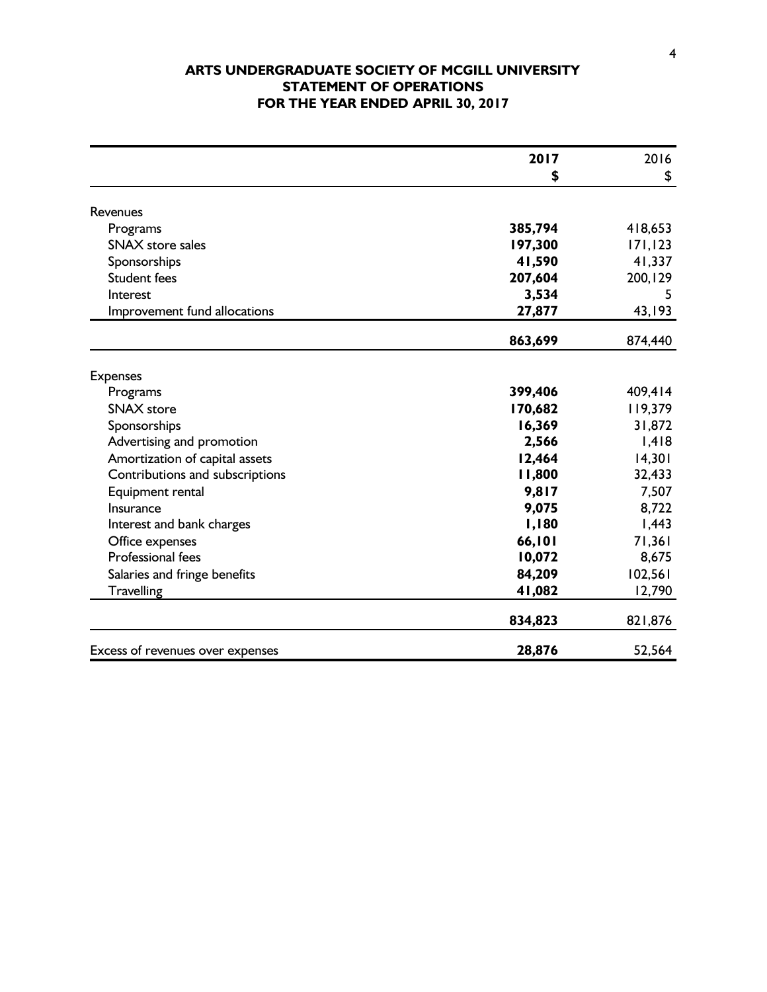## **ARTS UNDERGRADUATE SOCIETY OF MCGILL UNIVERSITY STATEMENT OF OPERATIONS FOR THE YEAR ENDED APRIL 30, 2017**

|                                  | 2017    | 2016     |
|----------------------------------|---------|----------|
|                                  | \$      | \$       |
|                                  |         |          |
| Revenues                         |         |          |
| Programs                         | 385,794 | 418,653  |
| <b>SNAX</b> store sales          | 197,300 | 171, 123 |
| Sponsorships                     | 41,590  | 41,337   |
| <b>Student fees</b>              | 207,604 | 200, 129 |
| Interest                         | 3,534   | 5        |
| Improvement fund allocations     | 27,877  | 43,193   |
|                                  | 863,699 | 874,440  |
|                                  |         |          |
| <b>Expenses</b>                  |         |          |
| Programs                         | 399,406 | 409,414  |
| <b>SNAX</b> store                | 170,682 | 119,379  |
| Sponsorships                     | 16,369  | 31,872   |
| Advertising and promotion        | 2,566   | 1,418    |
| Amortization of capital assets   | 12,464  | 14,301   |
| Contributions and subscriptions  | 11,800  | 32,433   |
| Equipment rental                 | 9,817   | 7,507    |
| Insurance                        | 9,075   | 8,722    |
| Interest and bank charges        | 1,180   | 1,443    |
| Office expenses                  | 66,101  | 71,361   |
| <b>Professional fees</b>         | 10,072  | 8,675    |
| Salaries and fringe benefits     | 84,209  | 102,561  |
| Travelling                       | 41,082  | 12,790   |
|                                  | 834,823 | 821,876  |
| Excess of revenues over expenses | 28,876  | 52,564   |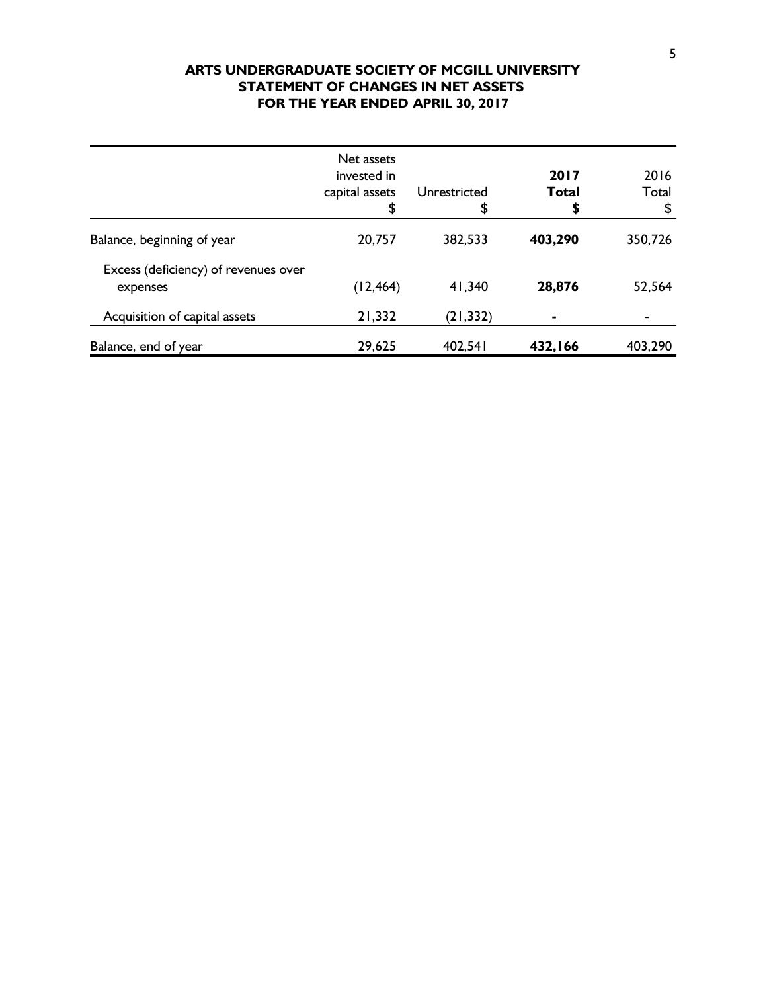## **ARTS UNDERGRADUATE SOCIETY OF MCGILL UNIVERSITY STATEMENT OF CHANGES IN NET ASSETS FOR THE YEAR ENDED APRIL 30, 2017**

|                                                  | Net assets<br>invested in<br>capital assets<br>\$ | Unrestricted<br>\$ | 2017<br><b>Total</b><br>\$ | 2016<br>Total<br>\$ |
|--------------------------------------------------|---------------------------------------------------|--------------------|----------------------------|---------------------|
| Balance, beginning of year                       | 20,757                                            | 382,533            | 403,290                    | 350,726             |
| Excess (deficiency) of revenues over<br>expenses | (12, 464)                                         | 41,340             | 28,876                     | 52,564              |
| Acquisition of capital assets                    | 21,332                                            | (21, 332)          |                            |                     |
| Balance, end of year                             | 29,625                                            | 402,541            | 432,166                    | 403,290             |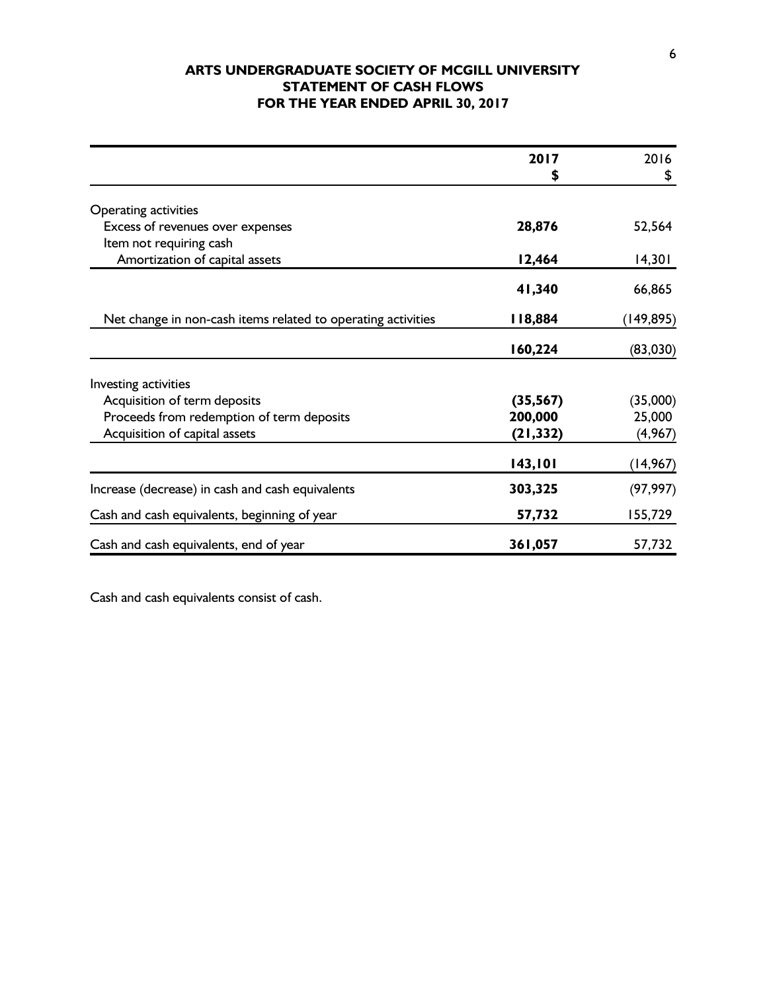## **ARTS UNDERGRADUATE SOCIETY OF MCGILL UNIVERSITY STATEMENT OF CASH FLOWS FOR THE YEAR ENDED APRIL 30, 2017**

|                                                              | 2017      | 2016      |
|--------------------------------------------------------------|-----------|-----------|
|                                                              | S         | \$        |
| Operating activities                                         |           |           |
| Excess of revenues over expenses                             | 28,876    | 52,564    |
| Item not requiring cash                                      |           |           |
| Amortization of capital assets                               | 12,464    | 14,301    |
|                                                              | 41,340    | 66,865    |
| Net change in non-cash items related to operating activities | 18,884    | (149,895) |
|                                                              | 160,224   | (83,030)  |
| Investing activities                                         |           |           |
| Acquisition of term deposits                                 | (35, 567) | (35,000)  |
| Proceeds from redemption of term deposits                    | 200,000   | 25,000    |
| Acquisition of capital assets                                | (21, 332) | (4, 967)  |
|                                                              | 143,101   | (14, 967) |
| Increase (decrease) in cash and cash equivalents             | 303,325   | (97, 997) |
| Cash and cash equivalents, beginning of year                 | 57,732    | 155,729   |
| Cash and cash equivalents, end of year                       | 361,057   | 57,732    |

Cash and cash equivalents consist of cash.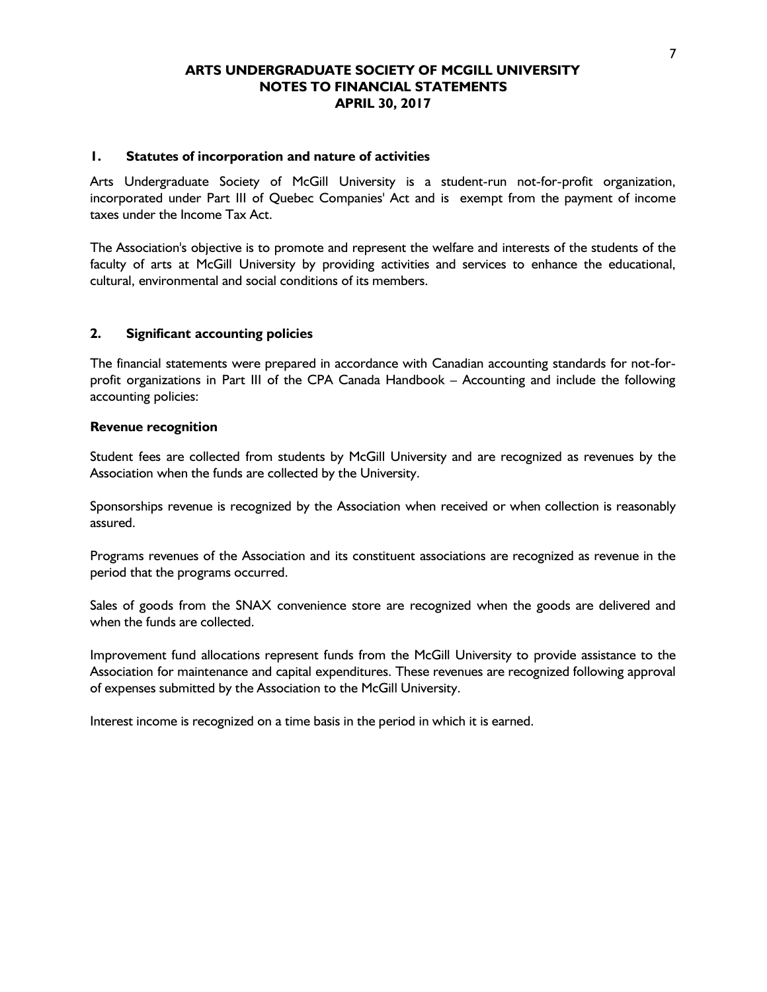#### **1. Statutes of incorporation and nature of activities**

Arts Undergraduate Society of McGill University is a student-run not-for-profit organization, incorporated under Part III of Quebec Companies' Act and is exempt from the payment of income taxes under the Income Tax Act.

The Association's objective is to promote and represent the welfare and interests of the students of the faculty of arts at McGill University by providing activities and services to enhance the educational, cultural, environmental and social conditions of its members.

### **2. Significant accounting policies**

The financial statements were prepared in accordance with Canadian accounting standards for not-forprofit organizations in Part III of the CPA Canada Handbook – Accounting and include the following accounting policies:

### **Revenue recognition**

Student fees are collected from students by McGill University and are recognized as revenues by the Association when the funds are collected by the University.

Sponsorships revenue is recognized by the Association when received or when collection is reasonably assured.

Programs revenues of the Association and its constituent associations are recognized as revenue in the period that the programs occurred.

Sales of goods from the SNAX convenience store are recognized when the goods are delivered and when the funds are collected.

Improvement fund allocations represent funds from the McGill University to provide assistance to the Association for maintenance and capital expenditures. These revenues are recognized following approval of expenses submitted by the Association to the McGill University.

Interest income is recognized on a time basis in the period in which it is earned.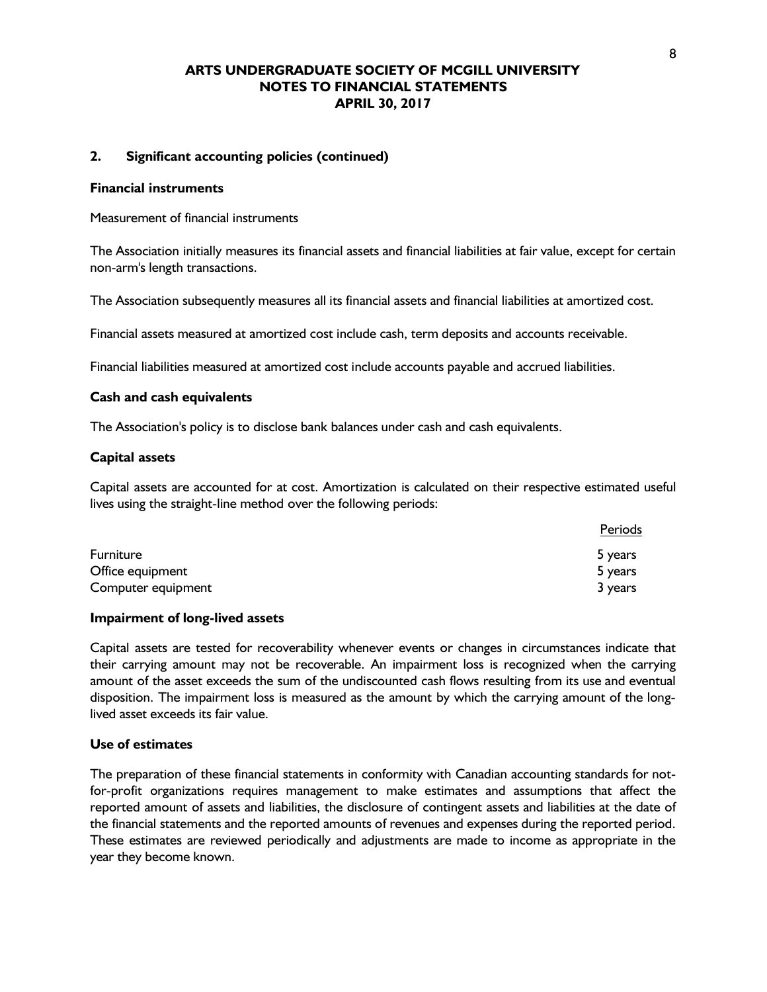#### **2. Significant accounting policies (continued)**

#### **Financial instruments**

Measurement of financial instruments

The Association initially measures its financial assets and financial liabilities at fair value, except for certain non-arm's length transactions.

The Association subsequently measures all its financial assets and financial liabilities at amortized cost.

Financial assets measured at amortized cost include cash, term deposits and accounts receivable.

Financial liabilities measured at amortized cost include accounts payable and accrued liabilities.

#### **Cash and cash equivalents**

The Association's policy is to disclose bank balances under cash and cash equivalents.

#### **Capital assets**

Capital assets are accounted for at cost. Amortization is calculated on their respective estimated useful lives using the straight-line method over the following periods:

|                    | Periods |
|--------------------|---------|
| <b>Furniture</b>   | 5 years |
| Office equipment   | 5 years |
| Computer equipment | 3 years |

#### **Impairment of long-lived assets**

Capital assets are tested for recoverability whenever events or changes in circumstances indicate that their carrying amount may not be recoverable. An impairment loss is recognized when the carrying amount of the asset exceeds the sum of the undiscounted cash flows resulting from its use and eventual disposition. The impairment loss is measured as the amount by which the carrying amount of the longlived asset exceeds its fair value.

#### **Use of estimates**

The preparation of these financial statements in conformity with Canadian accounting standards for notfor-profit organizations requires management to make estimates and assumptions that affect the reported amount of assets and liabilities, the disclosure of contingent assets and liabilities at the date of the financial statements and the reported amounts of revenues and expenses during the reported period. These estimates are reviewed periodically and adjustments are made to income as appropriate in the year they become known.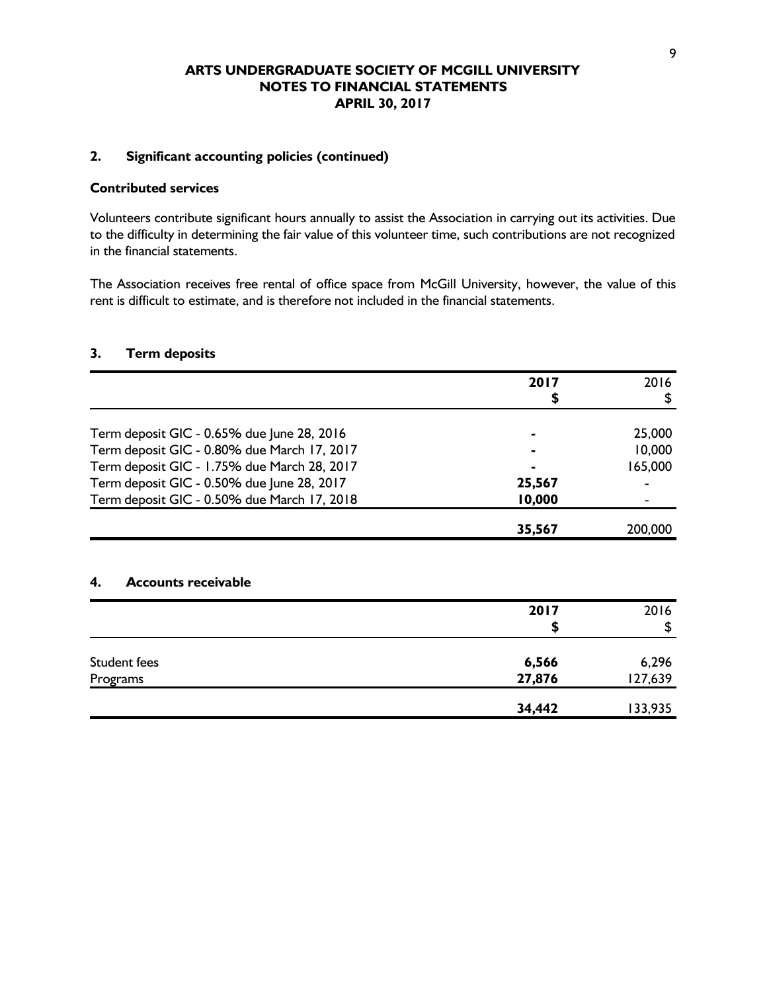### **2. Significant accounting policies (continued)**

## **Contributed services**

Volunteers contribute significant hours annually to assist the Association in carrying out its activities. Due to the difficulty in determining the fair value of this volunteer time, such contributions are not recognized in the financial statements.

The Association receives free rental of office space from McGill University, however, the value of this rent is difficult to estimate, and is therefore not included in the financial statements.

### **3. Term deposits**

|                                             | 2017   | 2016    |
|---------------------------------------------|--------|---------|
|                                             | \$     | \$      |
| Term deposit GIC - 0.65% due June 28, 2016  |        | 25,000  |
| Term deposit GIC - 0.80% due March 17, 2017 |        | 10,000  |
| Term deposit GIC - 1.75% due March 28, 2017 |        | 165,000 |
| Term deposit GIC - 0.50% due June 28, 2017  | 25,567 |         |
| Term deposit GIC - 0.50% due March 17, 2018 | 10,000 |         |
|                                             | 35,567 | 200,000 |
| <b>Accounts receivable</b><br>4.            |        |         |
|                                             | 2017   | 2016    |
|                                             | S      | \$      |
| <b>Student fees</b>                         | 6,566  | 6,296   |
| Programs                                    | 27,876 | 127,639 |
|                                             | 34,442 | 133,935 |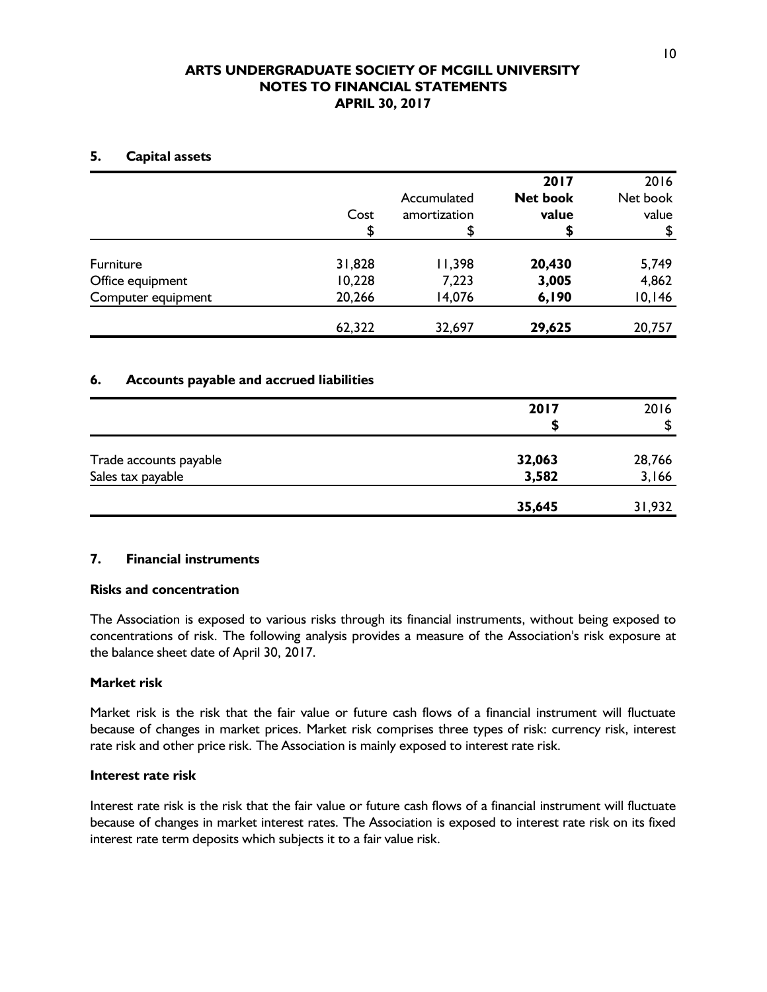## **5. Capital assets**

|                                      | Cost<br>\$       | Accumulated<br>amortization<br>\$ | 2017<br><b>Net book</b><br>value | 2016<br>Net book<br>value<br>S |
|--------------------------------------|------------------|-----------------------------------|----------------------------------|--------------------------------|
| <b>Furniture</b><br>Office equipment | 31,828<br>10,228 | 11,398<br>7,223                   | 20,430<br>3,005                  | 5,749<br>4,862                 |
| Computer equipment                   | 20,266           | 14,076                            | 6,190                            | 10,146                         |
|                                      | 62,322           | 32,697                            | 29,625                           | 20,757                         |

## **6. Accounts payable and accrued liabilities**

|                                             | 2017            | 2016<br>\$      |
|---------------------------------------------|-----------------|-----------------|
|                                             |                 |                 |
| Trade accounts payable<br>Sales tax payable | 32,063<br>3,582 | 28,766<br>3,166 |
|                                             | 35,645          | 31,932          |

## **7. Financial instruments**

## **Risks and concentration**

The Association is exposed to various risks through its financial instruments, without being exposed to concentrations of risk. The following analysis provides a measure of the Association's risk exposure at the balance sheet date of April 30, 2017.

## **Market risk**

Market risk is the risk that the fair value or future cash flows of a financial instrument will fluctuate because of changes in market prices. Market risk comprises three types of risk: currency risk, interest rate risk and other price risk. The Association is mainly exposed to interest rate risk.

## **Interest rate risk**

Interest rate risk is the risk that the fair value or future cash flows of a financial instrument will fluctuate because of changes in market interest rates. The Association is exposed to interest rate risk on its fixed interest rate term deposits which subjects it to a fair value risk.